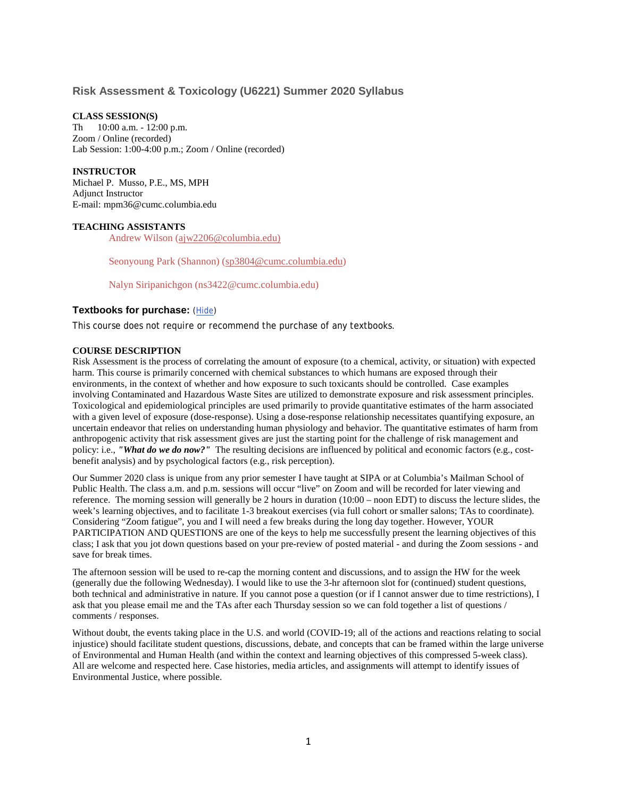## **Risk Assessment & Toxicology (U6221) Summer 2020 Syllabus**

### **CLASS SESSION(S)**

Th 10:00 a.m. - 12:00 p.m. Zoom / Online (recorded) Lab Session: 1:00-4:00 p.m.; Zoom / Online (recorded)

### **INSTRUCTOR**

Michael P. Musso, P.E., MS, MPH Adjunct Instructor E-mail: mpm36@cumc.columbia.edu

### **TEACHING ASSISTANTS**

Andrew Wilson [\(ajw2206@columbia.edu\)](mailto:ajw2206@columbia.edu)

Seonyoung Park (Shannon) [\(sp3804@cumc.columbia.edu\)](mailto:sp3804@cumc.columbia.edu)

Nalyn Siripanichgon (ns3422@cumc.columbia.edu)

# **Textbooks for purchase:** [\(Hide\)](https://courseworks.columbia.edu/cms/input/syllabus/abstract.cfm?RequestTimeout=200&user_key=53566381&whois=00040A9E-FDB6-1FDD-B67783E729058000&iruyxd=108417120&lkjrty=82)

This course does not require or recommend the purchase of any textbooks.

### **COURSE DESCRIPTION**

Risk Assessment is the process of correlating the amount of exposure (to a chemical, activity, or situation) with expected harm. This course is primarily concerned with chemical substances to which humans are exposed through their environments, in the context of whether and how exposure to such toxicants should be controlled. Case examples involving Contaminated and Hazardous Waste Sites are utilized to demonstrate exposure and risk assessment principles. Toxicological and epidemiological principles are used primarily to provide quantitative estimates of the harm associated with a given level of exposure (dose-response). Using a dose-response relationship necessitates quantifying exposure, an uncertain endeavor that relies on understanding human physiology and behavior. The quantitative estimates of harm from anthropogenic activity that risk assessment gives are just the starting point for the challenge of risk management and policy: i.e., *"What do we do now?"* The resulting decisions are influenced by political and economic factors (e.g., costbenefit analysis) and by psychological factors (e.g., risk perception).

Our Summer 2020 class is unique from any prior semester I have taught at SIPA or at Columbia's Mailman School of Public Health. The class a.m. and p.m. sessions will occur "live" on Zoom and will be recorded for later viewing and reference. The morning session will generally be 2 hours in duration (10:00 – noon EDT) to discuss the lecture slides, the week's learning objectives, and to facilitate 1-3 breakout exercises (via full cohort or smaller salons; TAs to coordinate). Considering "Zoom fatigue", you and I will need a few breaks during the long day together. However, YOUR PARTICIPATION AND QUESTIONS are one of the keys to help me successfully present the learning objectives of this class; I ask that you jot down questions based on your pre-review of posted material - and during the Zoom sessions - and save for break times.

The afternoon session will be used to re-cap the morning content and discussions, and to assign the HW for the week (generally due the following Wednesday). I would like to use the 3-hr afternoon slot for (continued) student questions, both technical and administrative in nature. If you cannot pose a question (or if I cannot answer due to time restrictions), I ask that you please email me and the TAs after each Thursday session so we can fold together a list of questions / comments / responses.

Without doubt, the events taking place in the U.S. and world (COVID-19; all of the actions and reactions relating to social injustice) should facilitate student questions, discussions, debate, and concepts that can be framed within the large universe of Environmental and Human Health (and within the context and learning objectives of this compressed 5-week class). All are welcome and respected here. Case histories, media articles, and assignments will attempt to identify issues of Environmental Justice, where possible.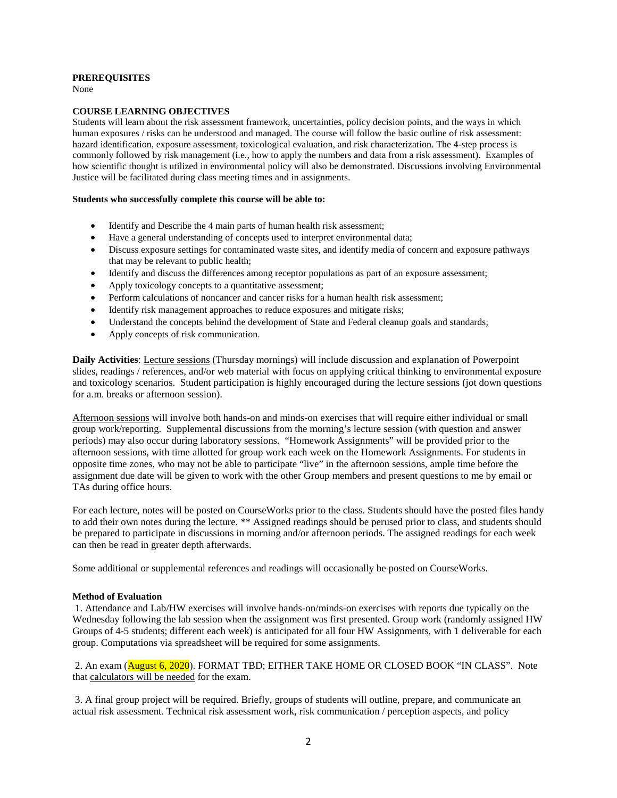### **PREREQUISITES**

None

## **COURSE LEARNING OBJECTIVES**

Students will learn about the risk assessment framework, uncertainties, policy decision points, and the ways in which human exposures / risks can be understood and managed. The course will follow the basic outline of risk assessment: hazard identification, exposure assessment, toxicological evaluation, and risk characterization. The 4-step process is commonly followed by risk management (i.e., how to apply the numbers and data from a risk assessment). Examples of how scientific thought is utilized in environmental policy will also be demonstrated. Discussions involving Environmental Justice will be facilitated during class meeting times and in assignments.

## **Students who successfully complete this course will be able to:**

- Identify and Describe the 4 main parts of human health risk assessment;
- Have a general understanding of concepts used to interpret environmental data;
- Discuss exposure settings for contaminated waste sites, and identify media of concern and exposure pathways that may be relevant to public health;
- Identify and discuss the differences among receptor populations as part of an exposure assessment;
- Apply toxicology concepts to a quantitative assessment;
- Perform calculations of noncancer and cancer risks for a human health risk assessment;
- Identify risk management approaches to reduce exposures and mitigate risks;
- Understand the concepts behind the development of State and Federal cleanup goals and standards;
- Apply concepts of risk communication.

**Daily Activities**: Lecture sessions (Thursday mornings) will include discussion and explanation of Powerpoint slides, readings / references, and/or web material with focus on applying critical thinking to environmental exposure and toxicology scenarios. Student participation is highly encouraged during the lecture sessions (jot down questions for a.m. breaks or afternoon session).

Afternoon sessions will involve both hands-on and minds-on exercises that will require either individual or small group work/reporting. Supplemental discussions from the morning's lecture session (with question and answer periods) may also occur during laboratory sessions. "Homework Assignments" will be provided prior to the afternoon sessions, with time allotted for group work each week on the Homework Assignments. For students in opposite time zones, who may not be able to participate "live" in the afternoon sessions, ample time before the assignment due date will be given to work with the other Group members and present questions to me by email or TAs during office hours.

For each lecture, notes will be posted on CourseWorks prior to the class. Students should have the posted files handy to add their own notes during the lecture. \*\* Assigned readings should be perused prior to class, and students should be prepared to participate in discussions in morning and/or afternoon periods. The assigned readings for each week can then be read in greater depth afterwards.

Some additional or supplemental references and readings will occasionally be posted on CourseWorks.

### **Method of Evaluation**

1. Attendance and Lab/HW exercises will involve hands-on/minds-on exercises with reports due typically on the Wednesday following the lab session when the assignment was first presented. Group work (randomly assigned HW Groups of 4-5 students; different each week) is anticipated for all four HW Assignments, with 1 deliverable for each group. Computations via spreadsheet will be required for some assignments.

2. An exam (**August 6, 2020**). FORMAT TBD; EITHER TAKE HOME OR CLOSED BOOK "IN CLASS". Note that calculators will be needed for the exam.

3. A final group project will be required. Briefly, groups of students will outline, prepare, and communicate an actual risk assessment. Technical risk assessment work, risk communication / perception aspects, and policy